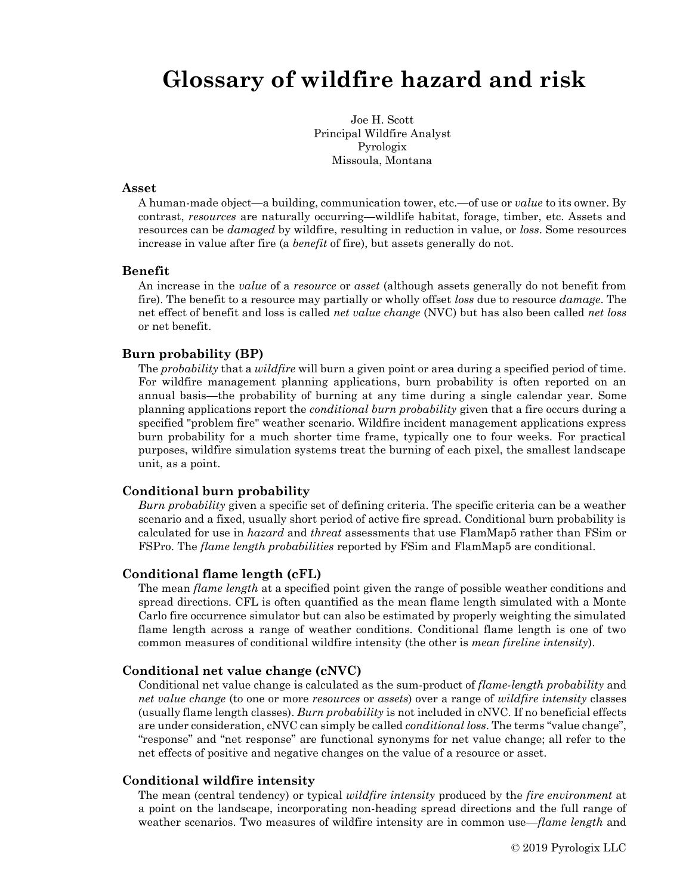# **Glossary of wildfire hazard and risk**

Joe H. Scott Principal Wildfire Analyst Pyrologix Missoula, Montana

#### **Asset**

A human-made object—a building, communication tower, etc.—of use or *value* to its owner. By contrast, *resources* are naturally occurring—wildlife habitat, forage, timber, etc. Assets and resources can be *damaged* by wildfire, resulting in reduction in value, or *loss*. Some resources increase in value after fire (a *benefit* of fire), but assets generally do not.

#### **Benefit**

An increase in the *value* of a *resource* or *asset* (although assets generally do not benefit from fire). The benefit to a resource may partially or wholly offset *loss* due to resource *damage*. The net effect of benefit and loss is called *net value change* (NVC) but has also been called *net loss* or net benefit.

#### **Burn probability (BP)**

The *probability* that a *wildfire* will burn a given point or area during a specified period of time. For wildfire management planning applications, burn probability is often reported on an annual basis—the probability of burning at any time during a single calendar year. Some planning applications report the *conditional burn probability* given that a fire occurs during a specified "problem fire" weather scenario. Wildfire incident management applications express burn probability for a much shorter time frame, typically one to four weeks. For practical purposes, wildfire simulation systems treat the burning of each pixel, the smallest landscape unit, as a point.

#### **Conditional burn probability**

*Burn probability* given a specific set of defining criteria. The specific criteria can be a weather scenario and a fixed, usually short period of active fire spread. Conditional burn probability is calculated for use in *hazard* and *threat* assessments that use FlamMap5 rather than FSim or FSPro. The *flame length probabilities* reported by FSim and FlamMap5 are conditional.

#### **Conditional flame length (cFL)**

The mean *flame length* at a specified point given the range of possible weather conditions and spread directions. CFL is often quantified as the mean flame length simulated with a Monte Carlo fire occurrence simulator but can also be estimated by properly weighting the simulated flame length across a range of weather conditions. Conditional flame length is one of two common measures of conditional wildfire intensity (the other is *mean fireline intensity*).

#### **Conditional net value change (cNVC)**

Conditional net value change is calculated as the sum-product of *flame-length probability* and *net value change* (to one or more *resources* or *assets*) over a range of *wildfire intensity* classes (usually flame length classes). *Burn probability* is not included in cNVC. If no beneficial effects are under consideration, cNVC can simply be called *conditional loss*. The terms "value change", "response" and "net response" are functional synonyms for net value change; all refer to the net effects of positive and negative changes on the value of a resource or asset.

#### **Conditional wildfire intensity**

The mean (central tendency) or typical *wildfire intensity* produced by the *fire environment* at a point on the landscape, incorporating non-heading spread directions and the full range of weather scenarios. Two measures of wildfire intensity are in common use—*flame length* and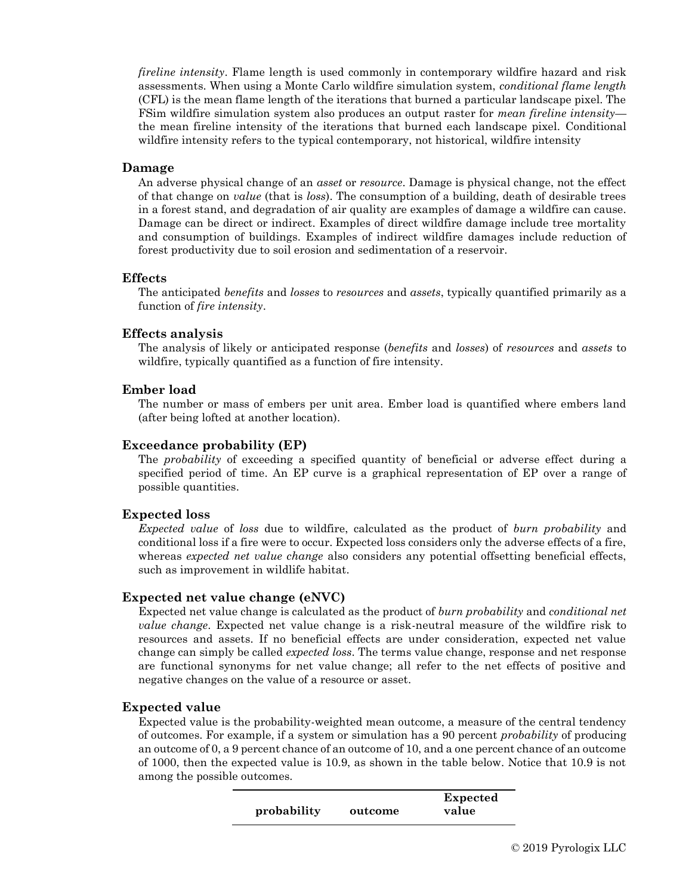*fireline intensity*. Flame length is used commonly in contemporary wildfire hazard and risk assessments. When using a Monte Carlo wildfire simulation system, *conditional flame length* (CFL) is the mean flame length of the iterations that burned a particular landscape pixel. The FSim wildfire simulation system also produces an output raster for *mean fireline intensity* the mean fireline intensity of the iterations that burned each landscape pixel. Conditional wildfire intensity refers to the typical contemporary, not historical, wildfire intensity

## **Damage**

An adverse physical change of an *asset* or *resource*. Damage is physical change, not the effect of that change on *value* (that is *loss*). The consumption of a building, death of desirable trees in a forest stand, and degradation of air quality are examples of damage a wildfire can cause. Damage can be direct or indirect. Examples of direct wildfire damage include tree mortality and consumption of buildings. Examples of indirect wildfire damages include reduction of forest productivity due to soil erosion and sedimentation of a reservoir.

## **Effects**

The anticipated *benefits* and *losses* to *resources* and *assets*, typically quantified primarily as a function of *fire intensity*.

#### **Effects analysis**

The analysis of likely or anticipated response (*benefits* and *losses*) of *resources* and *assets* to wildfire, typically quantified as a function of fire intensity.

## **Ember load**

The number or mass of embers per unit area. Ember load is quantified where embers land (after being lofted at another location).

## **Exceedance probability (EP)**

The *probability* of exceeding a specified quantity of beneficial or adverse effect during a specified period of time. An EP curve is a graphical representation of EP over a range of possible quantities.

## **Expected loss**

*Expected value* of *loss* due to wildfire, calculated as the product of *burn probability* and conditional loss if a fire were to occur. Expected loss considers only the adverse effects of a fire, whereas *expected net value change* also considers any potential offsetting beneficial effects, such as improvement in wildlife habitat.

## **Expected net value change (eNVC)**

Expected net value change is calculated as the product of *burn probability* and *conditional net value change*. Expected net value change is a risk-neutral measure of the wildfire risk to resources and assets. If no beneficial effects are under consideration, expected net value change can simply be called *expected loss*. The terms value change, response and net response are functional synonyms for net value change; all refer to the net effects of positive and negative changes on the value of a resource or asset.

## **Expected value**

Expected value is the probability-weighted mean outcome, a measure of the central tendency of outcomes. For example, if a system or simulation has a 90 percent *probability* of producing an outcome of 0, a 9 percent chance of an outcome of 10, and a one percent chance of an outcome of 1000, then the expected value is 10.9, as shown in the table below. Notice that 10.9 is not among the possible outcomes.

|             |         | Expected |
|-------------|---------|----------|
| probability | outcome | value    |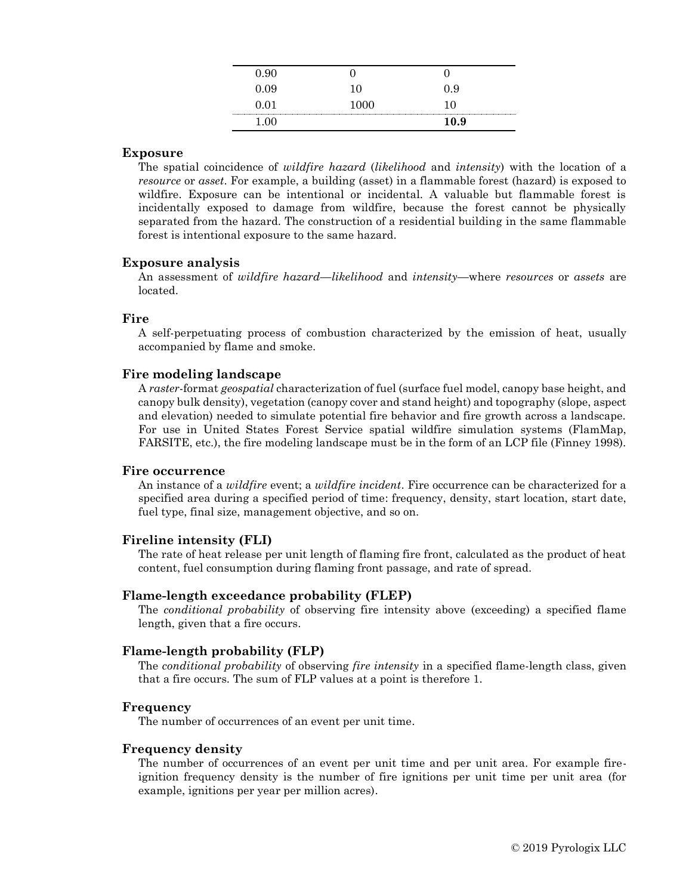| -91  |      |
|------|------|
| 0.09 | 0.9  |
| 0.01 |      |
|      | 10.9 |

## **Exposure**

The spatial coincidence of *wildfire hazard* (*likelihood* and *intensity*) with the location of a *resource* or *asset*. For example, a building (asset) in a flammable forest (hazard) is exposed to wildfire. Exposure can be intentional or incidental. A valuable but flammable forest is incidentally exposed to damage from wildfire, because the forest cannot be physically separated from the hazard. The construction of a residential building in the same flammable forest is intentional exposure to the same hazard.

## **Exposure analysis**

An assessment of *wildfire hazard*—*likelihood* and *intensity*—where *resources* or *assets* are located.

#### **Fire**

A self-perpetuating process of combustion characterized by the emission of heat, usually accompanied by flame and smoke.

## **Fire modeling landscape**

A *raster*-format *geospatial* characterization of fuel (surface fuel model, canopy base height, and canopy bulk density), vegetation (canopy cover and stand height) and topography (slope, aspect and elevation) needed to simulate potential fire behavior and fire growth across a landscape. For use in United States Forest Service spatial wildfire simulation systems (FlamMap, FARSITE, etc.), the fire modeling landscape must be in the form of an LCP file (Finney 1998).

#### **Fire occurrence**

An instance of a *wildfire* event; a *wildfire incident*. Fire occurrence can be characterized for a specified area during a specified period of time: frequency, density, start location, start date, fuel type, final size, management objective, and so on.

#### **Fireline intensity (FLI)**

The rate of heat release per unit length of flaming fire front, calculated as the product of heat content, fuel consumption during flaming front passage, and rate of spread.

#### **Flame-length exceedance probability (FLEP)**

The *conditional probability* of observing fire intensity above (exceeding) a specified flame length, given that a fire occurs.

## **Flame-length probability (FLP)**

The *conditional probability* of observing *fire intensity* in a specified flame-length class, given that a fire occurs. The sum of FLP values at a point is therefore 1.

#### **Frequency**

The number of occurrences of an event per unit time.

#### **Frequency density**

The number of occurrences of an event per unit time and per unit area. For example fireignition frequency density is the number of fire ignitions per unit time per unit area (for example, ignitions per year per million acres).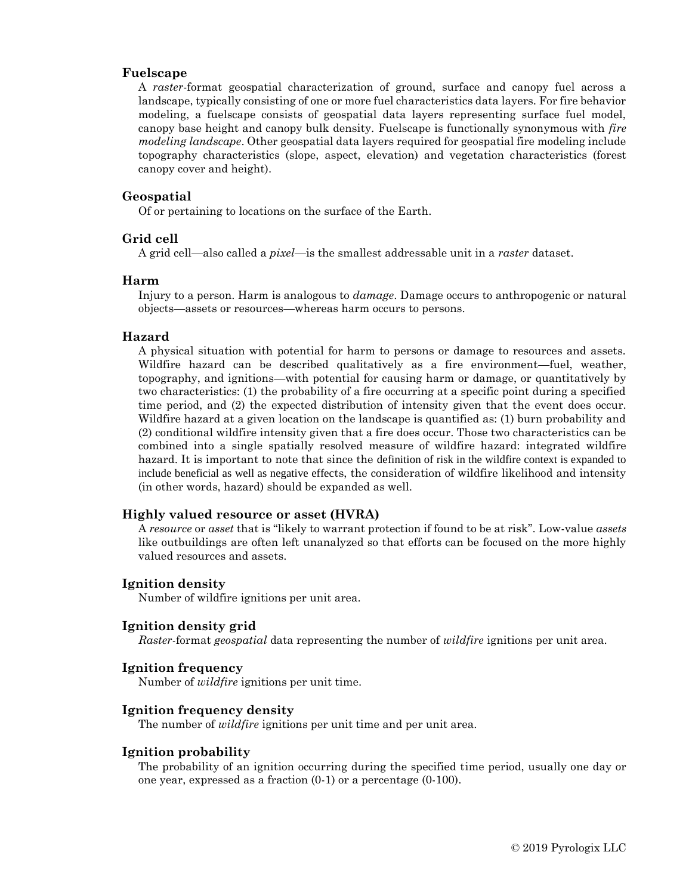## **Fuelscape**

A *raster*-format geospatial characterization of ground, surface and canopy fuel across a landscape, typically consisting of one or more fuel characteristics data layers. For fire behavior modeling, a fuelscape consists of geospatial data layers representing surface fuel model, canopy base height and canopy bulk density. Fuelscape is functionally synonymous with *fire modeling landscape*. Other geospatial data layers required for geospatial fire modeling include topography characteristics (slope, aspect, elevation) and vegetation characteristics (forest canopy cover and height).

#### **Geospatial**

Of or pertaining to locations on the surface of the Earth.

#### **Grid cell**

A grid cell—also called a *pixel*—is the smallest addressable unit in a *raster* dataset.

#### **Harm**

Injury to a person. Harm is analogous to *damage*. Damage occurs to anthropogenic or natural objects—assets or resources—whereas harm occurs to persons.

#### **Hazard**

A physical situation with potential for harm to persons or damage to resources and assets. Wildfire hazard can be described qualitatively as a fire environment—fuel, weather, topography, and ignitions—with potential for causing harm or damage, or quantitatively by two characteristics: (1) the probability of a fire occurring at a specific point during a specified time period, and (2) the expected distribution of intensity given that the event does occur. Wildfire hazard at a given location on the landscape is quantified as: (1) burn probability and (2) conditional wildfire intensity given that a fire does occur. Those two characteristics can be combined into a single spatially resolved measure of wildfire hazard: integrated wildfire hazard. It is important to note that since the definition of risk in the wildfire context is expanded to include beneficial as well as negative effects, the consideration of wildfire likelihood and intensity (in other words, hazard) should be expanded as well.

#### **Highly valued resource or asset (HVRA)**

A *resource* or *asset* that is "likely to warrant protection if found to be at risk". Low-value *assets* like outbuildings are often left unanalyzed so that efforts can be focused on the more highly valued resources and assets.

#### **Ignition density**

Number of wildfire ignitions per unit area.

#### **Ignition density grid**

*Raster*-format *geospatial* data representing the number of *wildfire* ignitions per unit area.

#### **Ignition frequency**

Number of *wildfire* ignitions per unit time.

## **Ignition frequency density**

The number of *wildfire* ignitions per unit time and per unit area.

## **Ignition probability**

The probability of an ignition occurring during the specified time period, usually one day or one year, expressed as a fraction (0-1) or a percentage (0-100).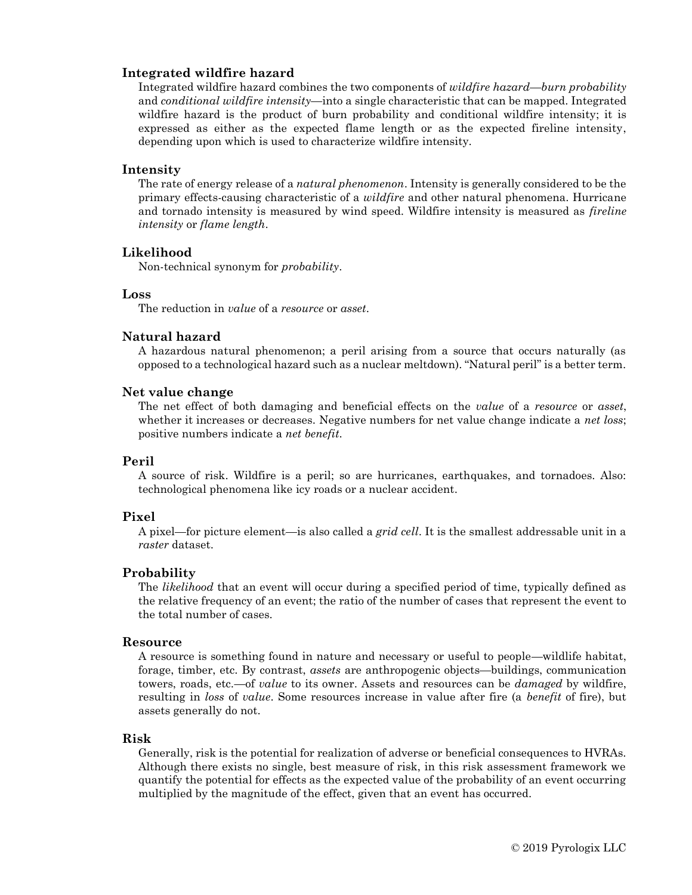# **Integrated wildfire hazard**

Integrated wildfire hazard combines the two components of *wildfire hazard*—*burn probability* and *conditional wildfire intensity*—into a single characteristic that can be mapped. Integrated wildfire hazard is the product of burn probability and conditional wildfire intensity; it is expressed as either as the expected flame length or as the expected fireline intensity, depending upon which is used to characterize wildfire intensity.

# **Intensity**

The rate of energy release of a *natural phenomenon*. Intensity is generally considered to be the primary effects-causing characteristic of a *wildfire* and other natural phenomena. Hurricane and tornado intensity is measured by wind speed. Wildfire intensity is measured as *fireline intensity* or *flame length*.

# **Likelihood**

Non-technical synonym for *probability*.

# **Loss**

The reduction in *value* of a *resource* or *asset*.

# **Natural hazard**

A hazardous natural phenomenon; a peril arising from a source that occurs naturally (as opposed to a technological hazard such as a nuclear meltdown). "Natural peril" is a better term.

# **Net value change**

The net effect of both damaging and beneficial effects on the *value* of a *resource* or *asset*, whether it increases or decreases. Negative numbers for net value change indicate a *net loss*; positive numbers indicate a *net benefit*.

# **Peril**

A source of risk. Wildfire is a peril; so are hurricanes, earthquakes, and tornadoes. Also: technological phenomena like icy roads or a nuclear accident.

# **Pixel**

A pixel—for picture element—is also called a *grid cell*. It is the smallest addressable unit in a *raster* dataset.

# **Probability**

The *likelihood* that an event will occur during a specified period of time, typically defined as the relative frequency of an event; the ratio of the number of cases that represent the event to the total number of cases.

# **Resource**

A resource is something found in nature and necessary or useful to people—wildlife habitat, forage, timber, etc. By contrast, *assets* are anthropogenic objects—buildings, communication towers, roads, etc.—of *value* to its owner. Assets and resources can be *damaged* by wildfire, resulting in *loss* of *value*. Some resources increase in value after fire (a *benefit* of fire), but assets generally do not.

# **Risk**

Generally, risk is the potential for realization of adverse or beneficial consequences to HVRAs. Although there exists no single, best measure of risk, in this risk assessment framework we quantify the potential for effects as the expected value of the probability of an event occurring multiplied by the magnitude of the effect, given that an event has occurred.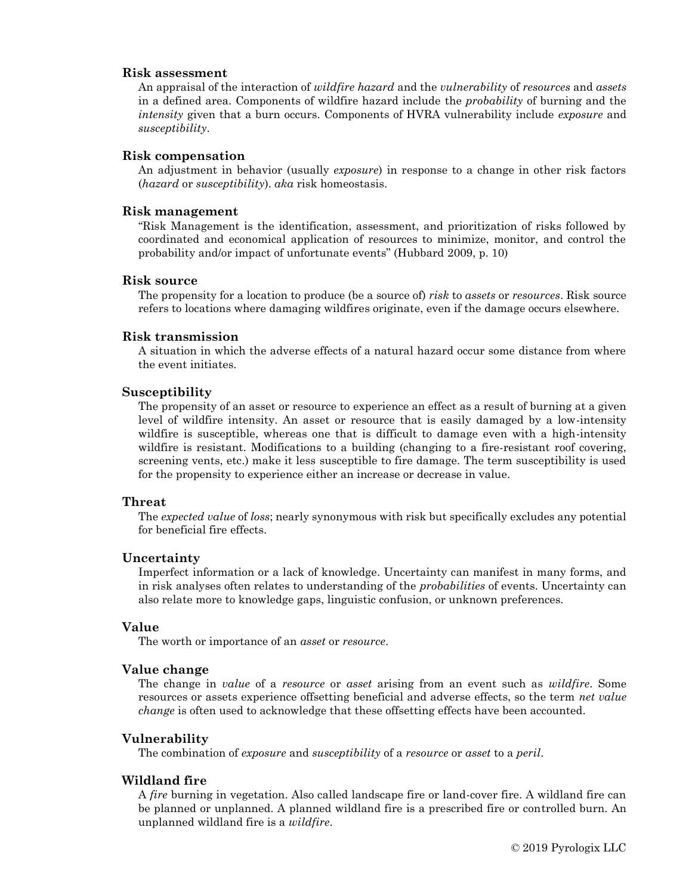## **Risk assessment**

An appraisal of the interaction of *wildfire hazard* and the *vulnerability* of *resources* and *assets* in a defined area. Components of wildfire hazard include the *probability* of burning and the *intensity* given that a burn occurs. Components of HVRA vulnerability include *exposure* and *susceptibility*.

## **Risk compensation**

An adjustment in behavior (usually *exposure*) in response to a change in other risk factors (*hazard* or *susceptibility*). *aka* risk homeostasis.

# **Risk management**

"Risk Management is the identification, assessment, and prioritization of risks followed by coordinated and economical application of resources to minimize, monitor, and control the probability and/or impact of unfortunate events" (Hubbard 2009, p. 10)

#### **Risk source**

The propensity for a location to produce (be a source of) *risk* to *assets* or *resources*. Risk source refers to locations where damaging wildfires originate, even if the damage occurs elsewhere.

#### **Risk transmission**

A situation in which the adverse effects of a natural hazard occur some distance from where the event initiates.

## **Susceptibility**

The propensity of an asset or resource to experience an effect as a result of burning at a given level of wildfire intensity. An asset or resource that is easily damaged by a low-intensity wildfire is susceptible, whereas one that is difficult to damage even with a high-intensity wildfire is resistant. Modifications to a building (changing to a fire-resistant roof covering, screening vents, etc.) make it less susceptible to fire damage. The term susceptibility is used for the propensity to experience either an increase or decrease in value.

# **Threat**

The *expected value* of *loss*; nearly synonymous with risk but specifically excludes any potential for beneficial fire effects.

#### **Uncertainty**

Imperfect information or a lack of knowledge. Uncertainty can manifest in many forms, and in risk analyses often relates to understanding of the *probabilities* of events. Uncertainty can also relate more to knowledge gaps, linguistic confusion, or unknown preferences.

## **Value**

The worth or importance of an *asset* or *resource*.

# **Value change**

The change in *value* of a *resource* or *asset* arising from an event such as *wildfire*. Some resources or assets experience offsetting beneficial and adverse effects, so the term *net value change* is often used to acknowledge that these offsetting effects have been accounted.

# **Vulnerability**

The combination of *exposure* and *susceptibility* of a *resource* or *asset* to a *peril*.

# **Wildland fire**

A *fire* burning in vegetation. Also called landscape fire or land-cover fire. A wildland fire can be planned or unplanned. A planned wildland fire is a prescribed fire or controlled burn. An unplanned wildland fire is a *wildfire*.